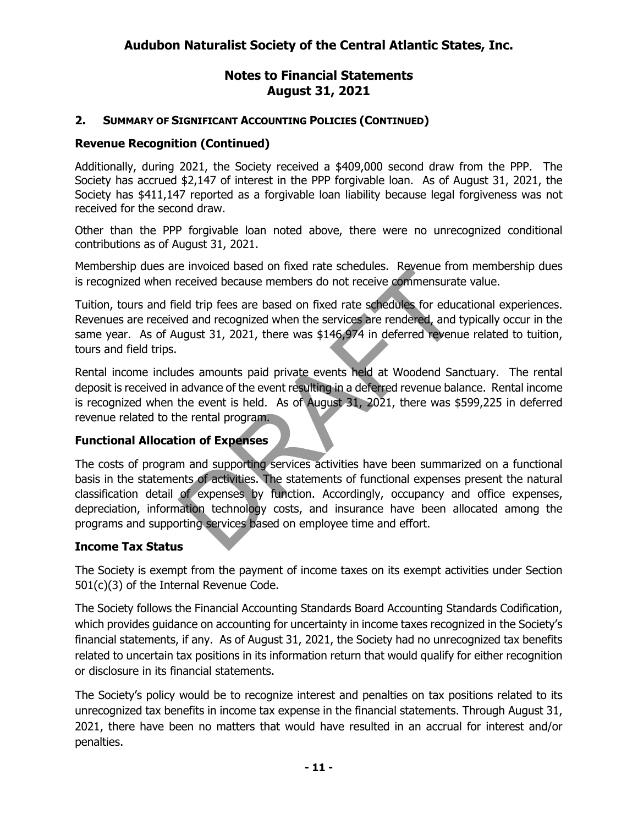## **2. SUMMARY OF SIGNIFICANT ACCOUNTING POLICIES (CONTINUED)**

## **Revenue Recognition (Continued)**

Additionally, during 2021, the Society received a \$409,000 second draw from the PPP. The Society has accrued \$2,147 of interest in the PPP forgivable loan. As of August 31, 2021, the Society has \$411,147 reported as a forgivable loan liability because legal forgiveness was not received for the second draw.

Other than the PPP forgivable loan noted above, there were no unrecognized conditional contributions as of August 31, 2021.

Membership dues are invoiced based on fixed rate schedules. Revenue from membership dues is recognized when received because members do not receive commensurate value.

Tuition, tours and field trip fees are based on fixed rate schedules for educational experiences. Revenues are received and recognized when the services are rendered, and typically occur in the same year. As of August 31, 2021, there was \$146,974 in deferred revenue related to tuition, tours and field trips.

Rental income includes amounts paid private events held at Woodend Sanctuary. The rental deposit is received in advance of the event resulting in a deferred revenue balance. Rental income is recognized when the event is held. As of August 31, 2021, there was \$599,225 in deferred revenue related to the rental program.

### **Functional Allocation of Expenses**

The costs of program and supporting services activities have been summarized on a functional basis in the statements of activities. The statements of functional expenses present the natural classification detail of expenses by function. Accordingly, occupancy and office expenses, depreciation, information technology costs, and insurance have been allocated among the programs and supporting services based on employee time and effort.

### **Income Tax Status**

The Society is exempt from the payment of income taxes on its exempt activities under Section 501(c)(3) of the Internal Revenue Code.

The Society follows the Financial Accounting Standards Board Accounting Standards Codification, which provides guidance on accounting for uncertainty in income taxes recognized in the Society's financial statements, if any. As of August 31, 2021, the Society had no unrecognized tax benefits related to uncertain tax positions in its information return that would qualify for either recognition or disclosure in its financial statements.

The Society's policy would be to recognize interest and penalties on tax positions related to its unrecognized tax benefits in income tax expense in the financial statements. Through August 31, 2021, there have been no matters that would have resulted in an accrual for interest and/or penalties.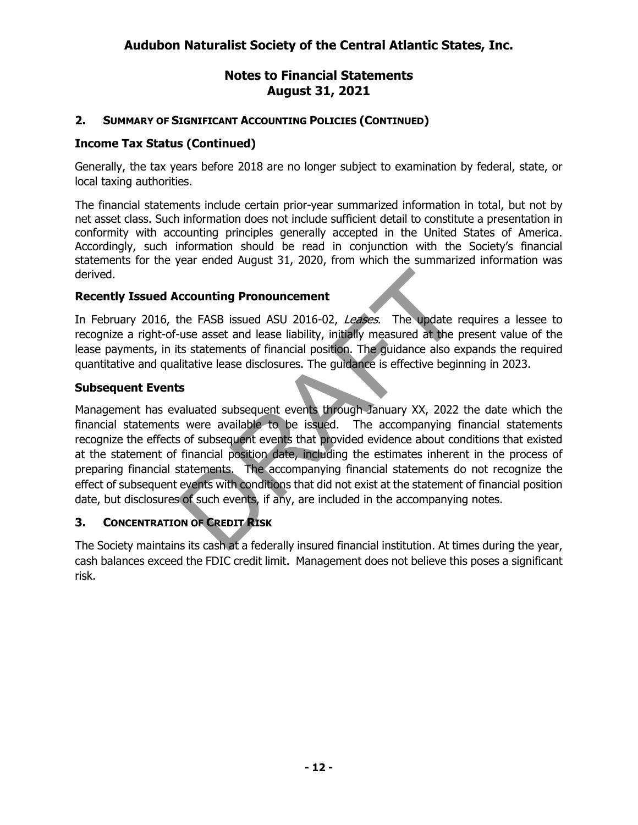#### **2. SUMMARY OF SIGNIFICANT ACCOUNTING POLICIES (CONTINUED)**

#### **Income Tax Status (Continued)**

Generally, the tax years before 2018 are no longer subject to examination by federal, state, or local taxing authorities.

The financial statements include certain prior-year summarized information in total, but not by net asset class. Such information does not include sufficient detail to constitute a presentation in conformity with accounting principles generally accepted in the United States of America. Accordingly, such information should be read in conjunction with the Society's financial statements for the year ended August 31, 2020, from which the summarized information was derived.

#### **Recently Issued Accounting Pronouncement**

In February 2016, the FASB issued ASU 2016-02, Leases. The update requires a lessee to recognize a right-of-use asset and lease liability, initially measured at the present value of the lease payments, in its statements of financial position. The guidance also expands the required quantitative and qualitative lease disclosures. The guidance is effective beginning in 2023.

#### **Subsequent Events**

Management has evaluated subsequent events through February 23, 2022 the date which the financial statements were available to be issued. The accompanying financial statements recognize the effects of subsequent events that provided evidence about conditions that existed at the statement of financial position date, including the estimates inherent in the process of preparing financial statements. The accompanying financial statements do not recognize the effect of subsequent events with conditions that did not exist at the statement of financial position date, but disclosures of such events, if any, are included in the accompanying notes.

#### **3. CONCENTRATION OF CREDIT RISK**

The Society maintains its cash at a federally insured financial institution. At times during the year, cash balances exceed the FDIC credit limit. Management does not believe this poses a significant risk.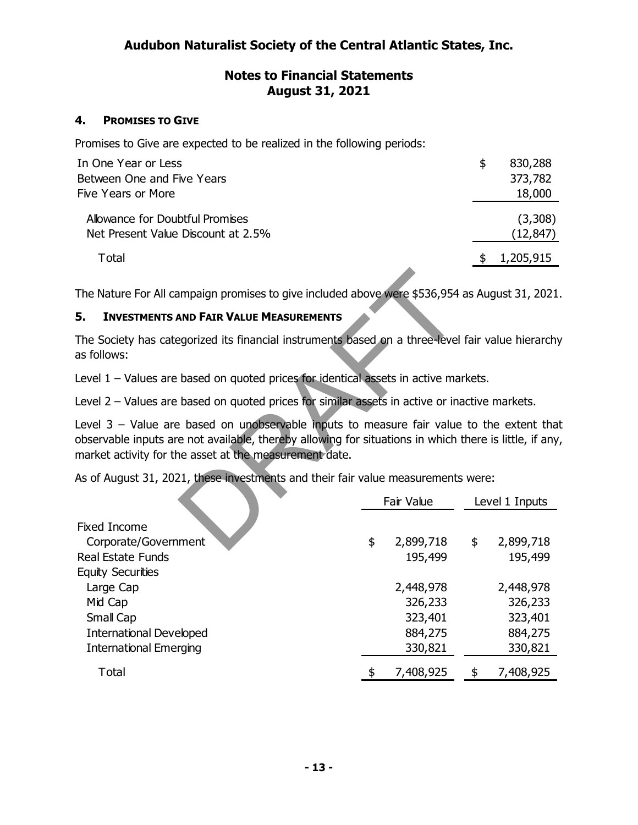## **4. PROMISES TO GIVE**

Promises to Give are expected to be realized in the following periods:

| In One Year or Less                | S. | 830,288   |
|------------------------------------|----|-----------|
| Between One and Five Years         |    | 373,782   |
| Five Years or More                 |    | 18,000    |
| Allowance for Doubtful Promises    |    | (3,308)   |
| Net Present Value Discount at 2.5% |    | (12, 847) |
| Total                              |    | 1,205,915 |
|                                    |    |           |

The Nature For All campaign promises to give included above were \$536,954 as August 31, 2021.

### **5. INVESTMENTS AND FAIR VALUE MEASUREMENTS**

The Society has categorized its financial instruments based on a three-level fair value hierarchy as follows:

Level 1 – Values are based on quoted prices for identical assets in active markets.

Level 2 – Values are based on quoted prices for similar assets in active or inactive markets.

Level  $3$  – Value are based on unobservable inputs to measure fair value to the extent that observable inputs are not available, thereby allowing for situations in which there is little, if any, market activity for the asset at the measurement date.

As of August 31, 2021, these investments and their fair value measurements were:

|                                | Fair Value      | Level 1 Inputs  |
|--------------------------------|-----------------|-----------------|
| <b>Fixed Income</b>            |                 |                 |
| Corporate/Government           | \$<br>2,899,718 | \$<br>2,899,718 |
| Real Estate Funds              | 195,499         | 195,499         |
| <b>Equity Securities</b>       |                 |                 |
| Large Cap                      | 2,448,978       | 2,448,978       |
| Mid Cap                        | 326,233         | 326,233         |
| Small Cap                      | 323,401         | 323,401         |
| <b>International Developed</b> | 884,275         | 884,275         |
| <b>International Emerging</b>  | 330,821         | 330,821         |
| Total                          | \$<br>7,408,925 | \$<br>7,408,925 |
|                                |                 |                 |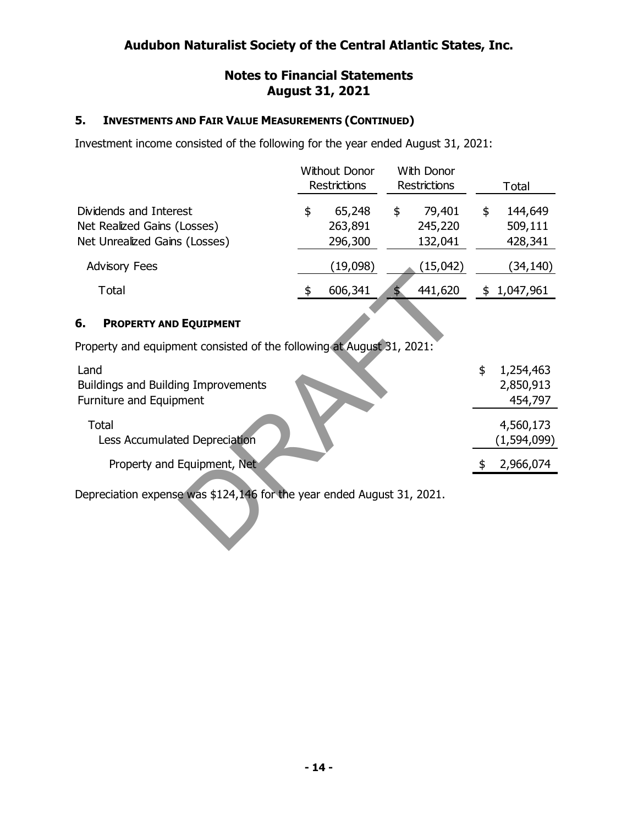# **Audubon Naturalist Society of the Central Atlantic States, Inc.**

#### **Notes to Financial Statements August 31, 2021**

#### **5. INVESTMENTS AND FAIR VALUE MEASUREMENTS (CONTINUED)**

Investment income consisted of the following for the year ended August 31, 2021:

|                                                                                        | <b>Without Donor</b><br>Restrictions<br>65,248<br>\$<br>263,891<br>296,300 |          | <b>With Donor</b><br><b>Restrictions</b> |                              | Total                               |
|----------------------------------------------------------------------------------------|----------------------------------------------------------------------------|----------|------------------------------------------|------------------------------|-------------------------------------|
| Dividends and Interest<br>Net Realized Gains (Losses)<br>Net Unrealized Gains (Losses) |                                                                            |          | \$                                       | 79,401<br>245,220<br>132,041 | \$<br>144,649<br>509,111<br>428,341 |
| <b>Advisory Fees</b>                                                                   |                                                                            | (19,098) |                                          | (15,042)                     | (34, 140)                           |
| Total                                                                                  |                                                                            | 606,341  |                                          | 441,620                      | 1,047,961                           |

### **6. PROPERTY AND EQUIPMENT**

Property and equipment consisted of the following at August 31, 2021:

| Land<br>Buildings and Building Improvements<br>Furniture and Equipment | S | 1,254,463<br>2,850,913<br>454,797 |
|------------------------------------------------------------------------|---|-----------------------------------|
| Total<br>Less Accumulated Depreciation                                 |   | 4,560,173<br>(1,594,099)          |
| Property and Equipment, Net                                            |   | 2,966,074                         |

Depreciation expense was \$124,146 for the year ended August 31, 2021.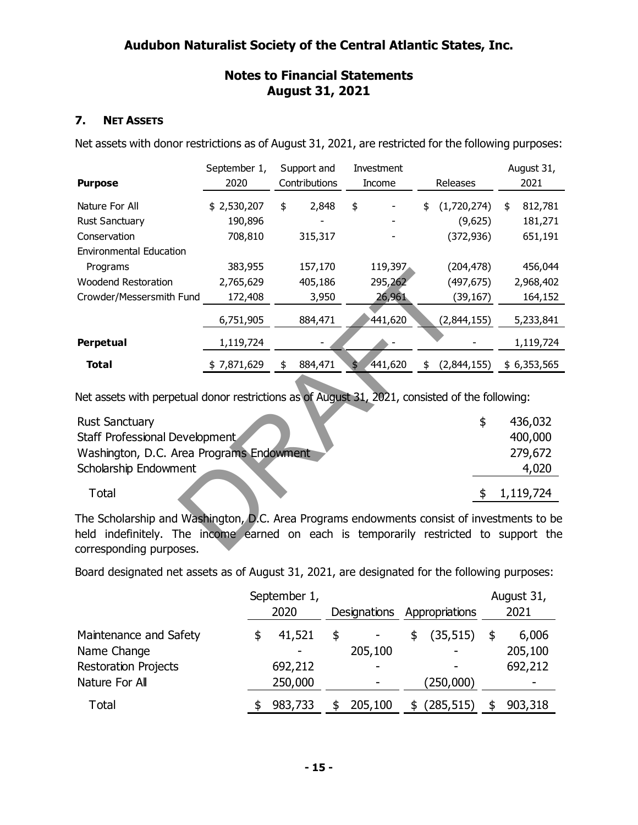#### **7. NET ASSETS**

Net assets with donor restrictions as of August 31, 2021, are restricted for the following purposes:

|                                | September 1, | Support and   | <b>Investment</b>        |                   | August 31,    |
|--------------------------------|--------------|---------------|--------------------------|-------------------|---------------|
| <b>Purpose</b>                 | 2020         | Contributions | <b>Income</b>            | Releases          | 2021          |
| Nature For All                 | \$2,530,207  | \$<br>2,848   | \$                       | \$<br>(1,720,274) | \$<br>812,781 |
| <b>Rust Sanctuary</b>          | 190,896      |               | $\overline{\phantom{0}}$ | (9,625)           | 181,271       |
| Conservation                   | 708,810      | 315,317       |                          | (372, 936)        | 651,191       |
| <b>Environmental Education</b> |              |               |                          |                   |               |
| Programs                       | 383,955      | 157,170       | 119,397                  | (204, 478)        | 456,044       |
| <b>Woodend Restoration</b>     | 2,765,629    | 405,186       | 295,262                  | (497, 675)        | 2,968,402     |
| Crowder/Messersmith Fund       | 172,408      | 3,950         | 26,961                   | (39,167)          | 164,152       |
|                                | 6,751,905    | 884,471       | 441,620                  | (2,844,155)       | 5,233,841     |
| <b>Perpetual</b>               | 1,119,724    |               |                          |                   | 1,119,724     |
| <b>Total</b>                   | \$7,871,629  | \$<br>884,471 | \$<br>441,620            | \$<br>(2,844,155) | \$6,353,565   |

Net assets with perpetual donor restrictions as of August 31, 2021, consisted of the following:

| <b>Rust Sanctuary</b>                    | 436,032   |
|------------------------------------------|-----------|
| <b>Staff Professional Development</b>    | 400,000   |
| Washington, D.C. Area Programs Endowment | 279,672   |
| Scholarship Endowment                    | 4,020     |
| Total                                    | 1,119,724 |

The Scholarship and Washington, D.C. Area Programs endowments consist of investments to be held indefinitely. The income earned on each is temporarily restricted to support the corresponding purposes.

Board designated net assets as of August 31, 2021, are designated for the following purposes:

|                             | September 1, |              |                 | August 31, |
|-----------------------------|--------------|--------------|-----------------|------------|
|                             | 2020         | Designations | Appropriations  | 2021       |
| Maintenance and Safety      | \$<br>41,521 | \$           | \$<br>(35, 515) | 6,006      |
| Name Change                 |              | 205,100      | ۰               | 205,100    |
| <b>Restoration Projects</b> | 692,212      |              |                 | 692,212    |
| Nature For All              | 250,000      |              | (250,000)       | ۰          |
| Total                       | 983,733      | 205,100      | (285, 515)      | 903,318    |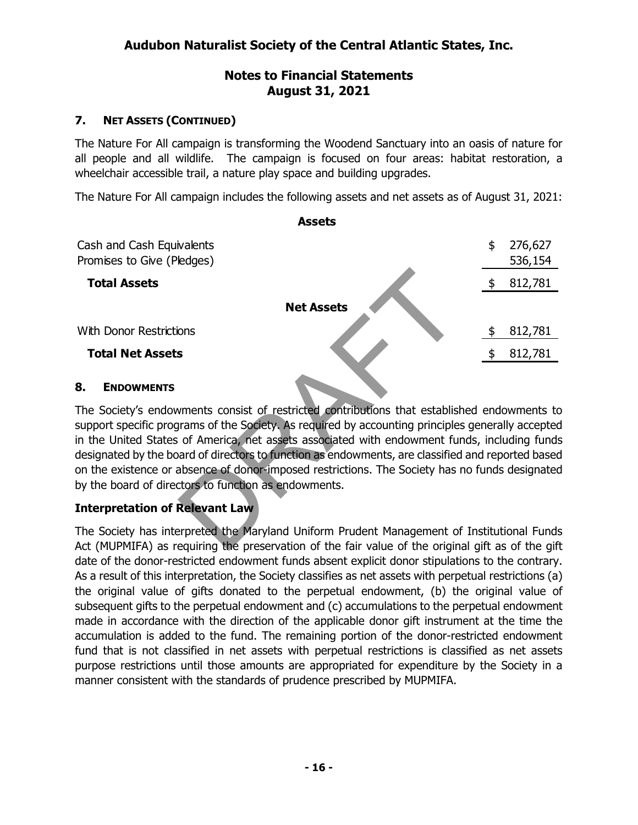# **7. NET ASSETS (CONTINUED)**

The Nature For All campaign is transforming the Woodend Sanctuary into an oasis of nature for all people and all wildlife. The campaign is focused on four areas: habitat restoration, a wheelchair accessible trail, a nature play space and building upgrades.

The Nature For All campaign includes the following assets and net assets as of August 31, 2021:

| <b>Assets</b>                                           |                          |
|---------------------------------------------------------|--------------------------|
| Cash and Cash Equivalents<br>Promises to Give (Pledges) | \$<br>276,627<br>536,154 |
| <b>Total Assets</b>                                     | \$<br>812,781            |
| <b>Net Assets</b>                                       |                          |
| With Donor Restrictions                                 | 812,781                  |
| <b>Total Net Assets</b>                                 | 812,781                  |

#### **8. ENDOWMENTS**

The Society's endowments consist of restricted contributions that established endowments to support specific programs of the Society. As required by accounting principles generally accepted in the United States of America, net assets associated with endowment funds, including funds designated by the board of directors to function as endowments, are classified and reported based on the existence or absence of donor-imposed restrictions. The Society has no funds designated by the board of directors to function as endowments.

### **Interpretation of Relevant Law**

The Society has interpreted the Maryland Uniform Prudent Management of Institutional Funds Act (MUPMIFA) as requiring the preservation of the fair value of the original gift as of the gift date of the donor-restricted endowment funds absent explicit donor stipulations to the contrary. As a result of this interpretation, the Society classifies as net assets with perpetual restrictions (a) the original value of gifts donated to the perpetual endowment, (b) the original value of subsequent gifts to the perpetual endowment and (c) accumulations to the perpetual endowment made in accordance with the direction of the applicable donor gift instrument at the time the accumulation is added to the fund. The remaining portion of the donor-restricted endowment fund that is not classified in net assets with perpetual restrictions is classified as net assets purpose restrictions until those amounts are appropriated for expenditure by the Society in a manner consistent with the standards of prudence prescribed by MUPMIFA.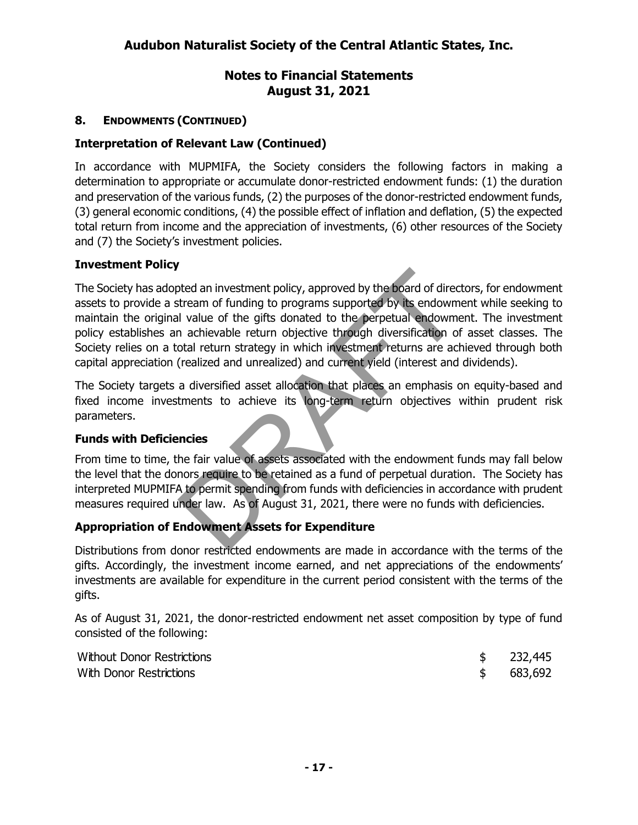# **8. ENDOWMENTS (CONTINUED)**

### **Interpretation of Relevant Law (Continued)**

In accordance with MUPMIFA, the Society considers the following factors in making a determination to appropriate or accumulate donor-restricted endowment funds: (1) the duration and preservation of the various funds, (2) the purposes of the donor-restricted endowment funds, (3) general economic conditions, (4) the possible effect of inflation and deflation, (5) the expected total return from income and the appreciation of investments, (6) other resources of the Society and (7) the Society's investment policies.

### **Investment Policy**

The Society has adopted an investment policy, approved by the board of directors, for endowment assets to provide a stream of funding to programs supported by its endowment while seeking to maintain the original value of the gifts donated to the perpetual endowment. The investment policy establishes an achievable return objective through diversification of asset classes. The Society relies on a total return strategy in which investment returns are achieved through both capital appreciation (realized and unrealized) and current yield (interest and dividends).

The Society targets a diversified asset allocation that places an emphasis on equity-based and fixed income investments to achieve its long-term return objectives within prudent risk parameters.

### **Funds with Deficiencies**

From time to time, the fair value of assets associated with the endowment funds may fall below the level that the donors require to be retained as a fund of perpetual duration. The Society has interpreted MUPMIFA to permit spending from funds with deficiencies in accordance with prudent measures required under law. As of August 31, 2021, there were no funds with deficiencies.

### **Appropriation of Endowment Assets for Expenditure**

Distributions from donor restricted endowments are made in accordance with the terms of the gifts. Accordingly, the investment income earned, and net appreciations of the endowments' investments are available for expenditure in the current period consistent with the terms of the gifts.

As of August 31, 2021, the donor-restricted endowment net asset composition by type of fund consisted of the following:

| Without Donor Restrictions | \$232,445 |
|----------------------------|-----------|
| With Donor Restrictions    | \$683,692 |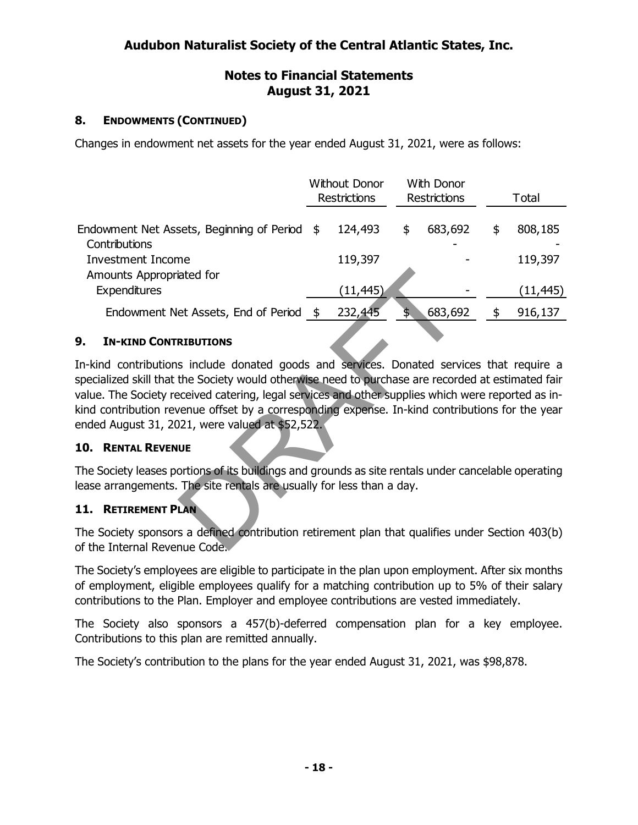# **8. ENDOWMENTS (CONTINUED)**

Changes in endowment net assets for the year ended August 31, 2021, were as follows:

|                                                               | <b>Without Donor</b><br><b>Restrictions</b> |           | <b>With Donor</b><br><b>Restrictions</b> | Total         |
|---------------------------------------------------------------|---------------------------------------------|-----------|------------------------------------------|---------------|
| Endowment Net Assets, Beginning of Period \$<br>Contributions |                                             | 124,493   | \$<br>683,692                            | \$<br>808,185 |
| <b>Investment Income</b><br>Amounts Appropriated for          |                                             | 119,397   |                                          | 119,397       |
| Expenditures                                                  |                                             | (11, 445) |                                          | (11, 445)     |
| Endowment Net Assets, End of Period \$                        |                                             | 232,445   | \$<br>683,692                            | \$<br>916,137 |

### **9. IN-KIND CONTRIBUTIONS**

In-kind contributions include donated goods and services. Donated services that require a specialized skill that the Society would otherwise need to purchase are recorded at estimated fair value. The Society received catering, legal services and other supplies which were reported as inkind contribution revenue offset by a corresponding expense. In-kind contributions for the year ended August 31, 2021, were valued at \$52,522.

### **10. RENTAL REVENUE**

The Society leases portions of its buildings and grounds as site rentals under cancelable operating lease arrangements. The site rentals are usually for less than a day.

### **11. RETIREMENT PLAN**

The Society sponsors a defined contribution retirement plan that qualifies under Section 403(b) of the Internal Revenue Code.

The Society's employees are eligible to participate in the plan upon employment. After six months of employment, eligible employees qualify for a matching contribution up to 5% of their salary contributions to the Plan. Employer and employee contributions are vested immediately.

The Society also sponsors a 457(b)-deferred compensation plan for a key employee. Contributions to this plan are remitted annually.

The Society's contribution to the plans for the year ended August 31, 2021, was \$98,878.